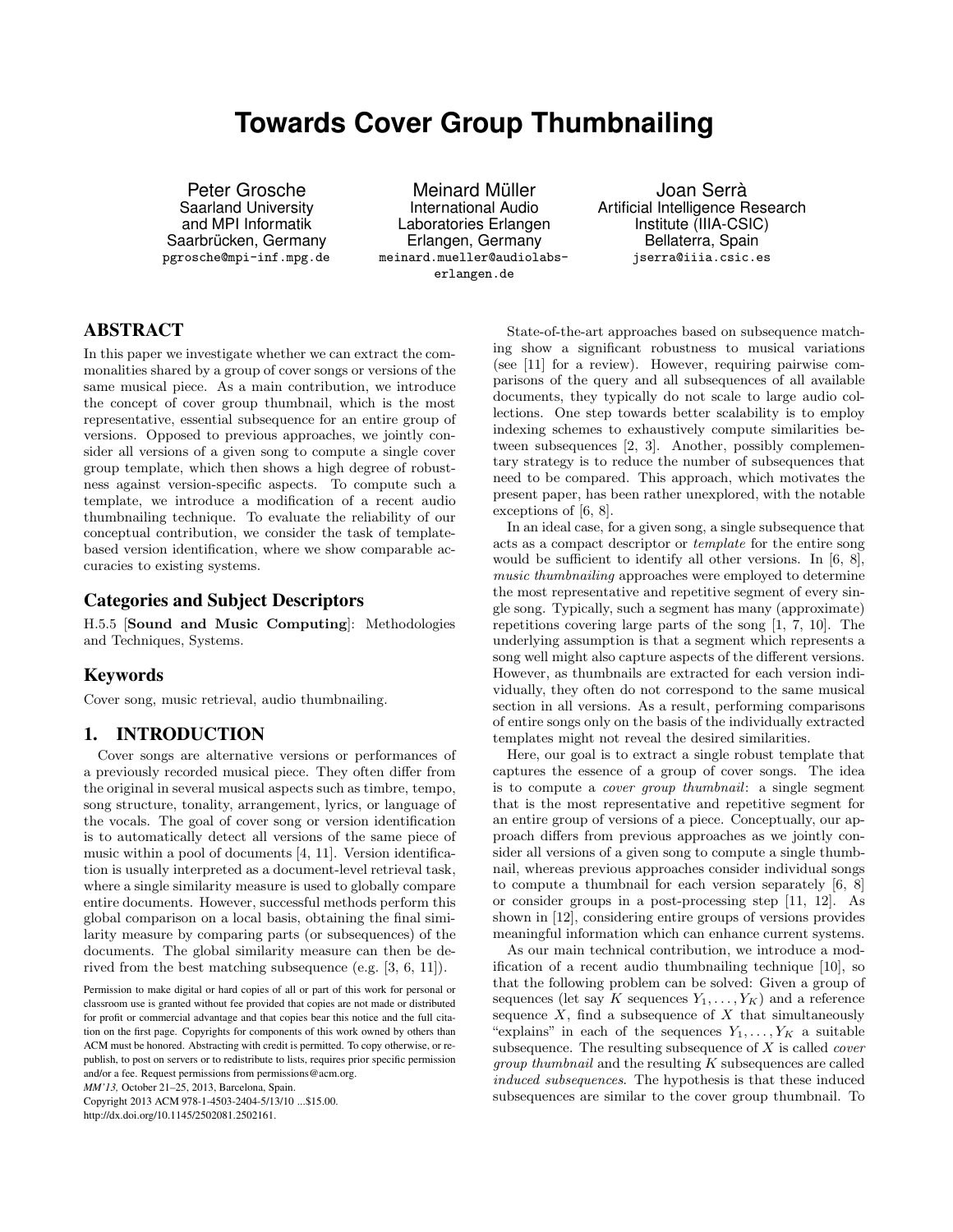# **Towards Cover Group Thumbnailing**

Peter Grosche Saarland University and MPI Informatik Saarbrücken, Germany pgrosche@mpi-inf.mpg.de

Meinard Müller International Audio Laboratories Erlangen Erlangen, Germany meinard.mueller@audiolabserlangen.de

Joan Serrà Artificial Intelligence Research Institute (IIIA-CSIC) Bellaterra, Spain jserra@iiia.csic.es

# **ABSTRACT**

In this paper we investigate whether we can extract the commonalities shared by a group of cover songs or versions of the same musical piece. As a main contribution, we introduce the concept of cover group thumbnail, which is the most representative, essential subsequence for an entire group of versions. Opposed to previous approaches, we jointly consider all versions of a given song to compute a single cover group template, which then shows a high degree of robustness against version-specific aspects. To compute such a template, we introduce a modification of a recent audio thumbnailing technique. To evaluate the reliability of our conceptual contribution, we consider the task of templatebased version identification, where we show comparable accuracies to existing systems.

## **Categories and Subject Descriptors**

H.5.5 [Sound and Music Computing]: Methodologies and Techniques, Systems.

# **Keywords**

Cover song, music retrieval, audio thumbnailing.

# **1. INTRODUCTION**

Cover songs are alternative versions or performances of a previously recorded musical piece. They often differ from the original in several musical aspects such as timbre, tempo, song structure, tonality, arrangement, lyrics, or language of the vocals. The goal of cover song or version identification is to automatically detect all versions of the same piece of music within a pool of documents [4, 11]. Version identification is usually interpreted as a document-level retrieval task, where a single similarity measure is used to globally compare entire documents. However, successful methods perform this global comparison on a local basis, obtaining the final similarity measure by comparing parts (or subsequences) of the documents. The global similarity measure can then be derived from the best matching subsequence (e.g. [3, 6, 11]).

*MM'13,* October 21–25, 2013, Barcelona, Spain.

Copyright 2013 ACM 978-1-4503-2404-5/13/10 ...\$15.00. http://dx.doi.org/10.1145/2502081.2502161.

State-of-the-art approaches based on subsequence matching show a significant robustness to musical variations (see [11] for a review). However, requiring pairwise comparisons of the query and all subsequences of all available documents, they typically do not scale to large audio collections. One step towards better scalability is to employ indexing schemes to exhaustively compute similarities between subsequences [2, 3]. Another, possibly complementary strategy is to reduce the number of subsequences that need to be compared. This approach, which motivates the present paper, has been rather unexplored, with the notable exceptions of [6, 8].

In an ideal case, for a given song, a single subsequence that acts as a compact descriptor or template for the entire song would be sufficient to identify all other versions. In [6, 8], music thumbnailing approaches were employed to determine the most representative and repetitive segment of every single song. Typically, such a segment has many (approximate) repetitions covering large parts of the song [1, 7, 10]. The underlying assumption is that a segment which represents a song well might also capture aspects of the different versions. However, as thumbnails are extracted for each version individually, they often do not correspond to the same musical section in all versions. As a result, performing comparisons of entire songs only on the basis of the individually extracted templates might not reveal the desired similarities.

Here, our goal is to extract a single robust template that captures the essence of a group of cover songs. The idea is to compute a cover group thumbnail: a single segment that is the most representative and repetitive segment for an entire group of versions of a piece. Conceptually, our approach differs from previous approaches as we jointly consider all versions of a given song to compute a single thumbnail, whereas previous approaches consider individual songs to compute a thumbnail for each version separately [6, 8] or consider groups in a post-processing step [11, 12]. As shown in [12], considering entire groups of versions provides meaningful information which can enhance current systems.

As our main technical contribution, we introduce a modification of a recent audio thumbnailing technique [10], so that the following problem can be solved: Given a group of sequences (let say K sequences  $Y_1, \ldots, Y_K$ ) and a reference sequence  $X$ , find a subsequence of  $X$  that simultaneously "explains" in each of the sequences  $Y_1, \ldots, Y_K$  a suitable subsequence. The resulting subsequence of  $X$  is called *cover group thumbnail* and the resulting  $K$  subsequences are called induced subsequences. The hypothesis is that these induced subsequences are similar to the cover group thumbnail. To

Permission to make digital or hard copies of all or part of this work for personal or classroom use is granted without fee provided that copies are not made or distributed for profit or commercial advantage and that copies bear this notice and the full citation on the first page. Copyrights for components of this work owned by others than ACM must be honored. Abstracting with credit is permitted. To copy otherwise, or republish, to post on servers or to redistribute to lists, requires prior specific permission and/or a fee. Request permissions from permissions@acm.org.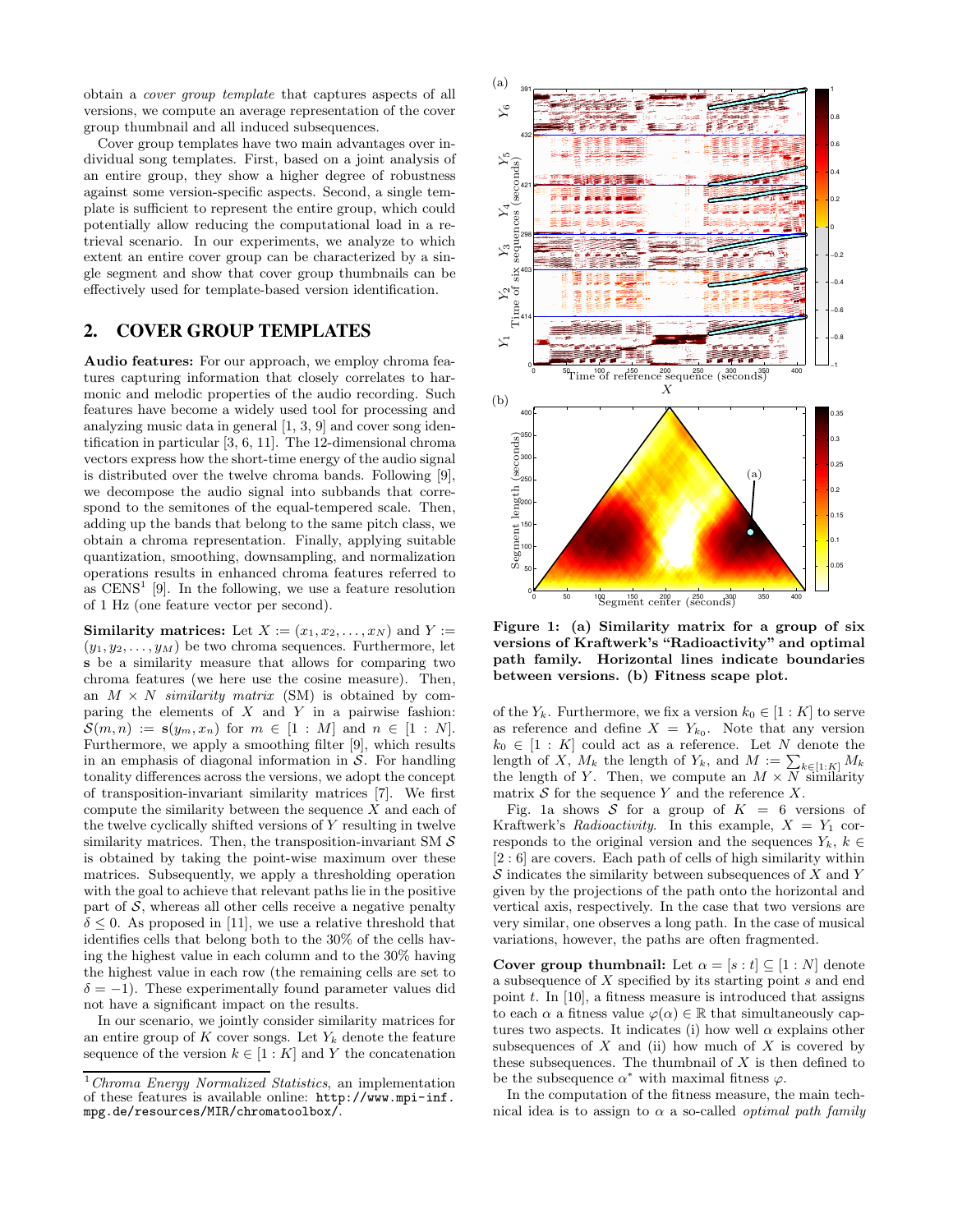obtain a cover group template that captures aspects of all versions, we compute an average representation of the cover group thumbnail and all induced subsequences.

Cover group templates have two main advantages over individual song templates. First, based on a joint analysis of an entire group, they show a higher degree of robustness against some version-specific aspects. Second, a single template is sufficient to represent the entire group, which could potentially allow reducing the computational load in a retrieval scenario. In our experiments, we analyze to which extent an entire cover group can be characterized by a single segment and show that cover group thumbnails can be effectively used for template-based version identification.

# **2. COVER GROUP TEMPLATES**

Audio features: For our approach, we employ chroma features capturing information that closely correlates to harmonic and melodic properties of the audio recording. Such features have become a widely used tool for processing and analyzing music data in general [1, 3, 9] and cover song identification in particular [3, 6, 11]. The 12-dimensional chroma vectors express how the short-time energy of the audio signal is distributed over the twelve chroma bands. Following [9], we decompose the audio signal into subbands that correspond to the semitones of the equal-tempered scale. Then, adding up the bands that belong to the same pitch class, we obtain a chroma representation. Finally, applying suitable quantization, smoothing, downsampling, and normalization operations results in enhanced chroma features referred to as  $CENS<sup>1</sup>$  [9]. In the following, we use a feature resolution of 1 Hz (one feature vector per second).

Similarity matrices: Let  $X := (x_1, x_2, \ldots, x_N)$  and  $Y :=$  $(y_1, y_2, \ldots, y_M)$  be two chroma sequences. Furthermore, let s be a similarity measure that allows for comparing two chroma features (we here use the cosine measure). Then, an  $M \times N$  *similarity matrix* (SM) is obtained by comparing the elements of  $X$  and  $Y$  in a pairwise fashion:  $S(m, n) := s(y_m, x_n)$  for  $m \in [1 : M]$  and  $n \in [1 : N]$ . Furthermore, we apply a smoothing filter [9], which results in an emphasis of diagonal information in  $S$ . For handling tonality differences across the versions, we adopt the concept of transposition-invariant similarity matrices [7]. We first compute the similarity between the sequence  $X$  and each of the twelve cyclically shifted versions of Y resulting in twelve similarity matrices. Then, the transposition-invariant SM  $\mathcal S$ is obtained by taking the point-wise maximum over these matrices. Subsequently, we apply a thresholding operation with the goal to achieve that relevant paths lie in the positive part of  $S$ , whereas all other cells receive a negative penalty  $\delta \leq 0$ . As proposed in [11], we use a relative threshold that identifies cells that belong both to the 30% of the cells having the highest value in each column and to the 30% having the highest value in each row (the remaining cells are set to  $\delta = -1$ ). These experimentally found parameter values did not have a significant impact on the results.

In our scenario, we jointly consider similarity matrices for an entire group of  $K$  cover songs. Let  $Y_k$  denote the feature sequence of the version  $k \in [1:K]$  and Y the concatenation



Figure 1: (a) Similarity matrix for a group of six versions of Kraftwerk's "Radioactivity" and optimal path family. Horizontal lines indicate boundaries between versions. (b) Fitness scape plot.

of the  $Y_k$ . Furthermore, we fix a version  $k_0 \in [1:K]$  to serve as reference and define  $X = Y_{k_0}$ . Note that any version  $k_0 \in [1:K]$  could act as a reference. Let N denote the length of X,  $M_k$  the length of  $Y_k$ , and  $M := \sum_{k \in [1:K]} M_k$ the length of Y. Then, we compute an  $M \times \overline{N}$  similarity matrix  $S$  for the sequence Y and the reference X.

Fig. 1a shows S for a group of  $K = 6$  versions of Kraftwerk's Radioactivity. In this example,  $X = Y_1$  corresponds to the original version and the sequences  $Y_k$ ,  $k \in$ [2 : 6] are covers. Each path of cells of high similarity within  $S$  indicates the similarity between subsequences of  $X$  and  $Y$ given by the projections of the path onto the horizontal and vertical axis, respectively. In the case that two versions are very similar, one observes a long path. In the case of musical variations, however, the paths are often fragmented.

Cover group thumbnail: Let  $\alpha = [s : t] \subseteq [1 : N]$  denote a subsequence of X specified by its starting point s and end point  $t$ . In [10], a fitness measure is introduced that assigns to each  $\alpha$  a fitness value  $\varphi(\alpha) \in \mathbb{R}$  that simultaneously captures two aspects. It indicates (i) how well  $\alpha$  explains other subsequences of  $X$  and (ii) how much of  $X$  is covered by these subsequences. The thumbnail of  $X$  is then defined to be the subsequence  $\alpha^*$  with maximal fitness  $\varphi$ .

In the computation of the fitness measure, the main technical idea is to assign to  $\alpha$  a so-called *optimal path family* 

 $1$ Chroma Energy Normalized Statistics, an implementation of these features is available online: http://www.mpi-inf. mpg.de/resources/MIR/chromatoolbox/.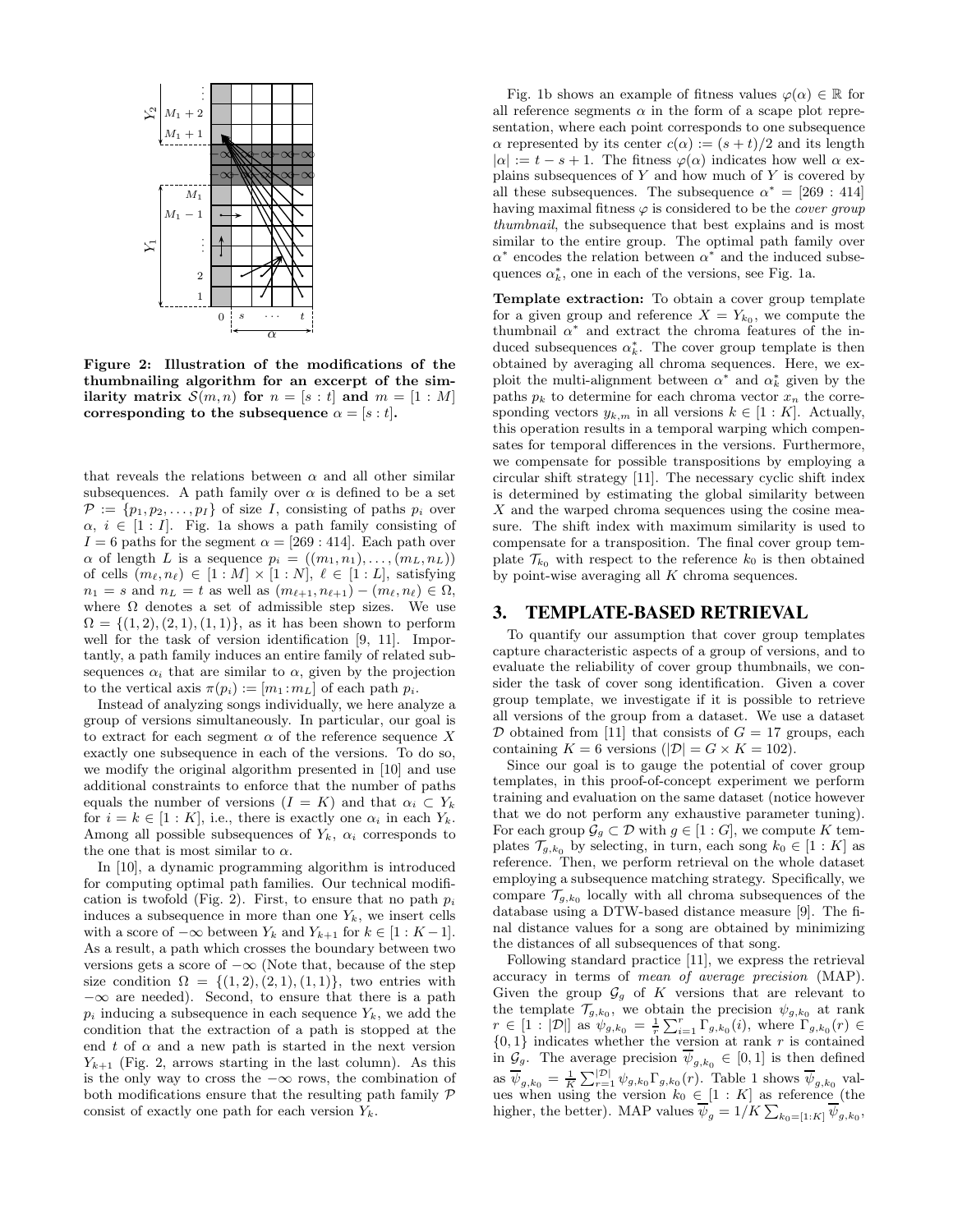

Figure 2: Illustration of the modifications of the thumbnailing algorithm for an excerpt of the similarity matrix  $\mathcal{S}(m,n)$  for  $n = [s : t]$  and  $m = [1 : M]$ corresponding to the subsequence  $\alpha = [s : t]$ .

that reveals the relations between  $\alpha$  and all other similar subsequences. A path family over  $\alpha$  is defined to be a set  $\mathcal{P} := \{p_1, p_2, \ldots, p_I\}$  of size I, consisting of paths  $p_i$  over  $\alpha, i \in [1 : I]$ . Fig. 1a shows a path family consisting of  $I = 6$  paths for the segment  $\alpha = [269 : 414]$ . Each path over  $\alpha$  of length L is a sequence  $p_i = ((m_1, n_1), \ldots, (m_L, n_L))$ of cells  $(m_\ell, n_\ell) \in [1 : M] \times [1 : N], \ell \in [1 : L],$  satisfying  $n_1 = s$  and  $n_L = t$  as well as  $(m_{\ell+1}, n_{\ell+1}) - (m_{\ell}, n_{\ell}) \in \Omega$ , where  $\Omega$  denotes a set of admissible step sizes. We use  $\Omega = \{(1, 2), (2, 1), (1, 1)\}\$ , as it has been shown to perform well for the task of version identification [9, 11]. Importantly, a path family induces an entire family of related subsequences  $\alpha_i$  that are similar to  $\alpha$ , given by the projection to the vertical axis  $\pi(p_i) := [m_1 : m_L]$  of each path  $p_i$ .

Instead of analyzing songs individually, we here analyze a group of versions simultaneously. In particular, our goal is to extract for each segment  $\alpha$  of the reference sequence X exactly one subsequence in each of the versions. To do so, we modify the original algorithm presented in [10] and use additional constraints to enforce that the number of paths equals the number of versions  $(I = K)$  and that  $\alpha_i \subset Y_k$ for  $i = k \in [1:K]$ , i.e., there is exactly one  $\alpha_i$  in each  $Y_k$ . Among all possible subsequences of  $Y_k$ ,  $\alpha_i$  corresponds to the one that is most similar to  $\alpha$ .

In [10], a dynamic programming algorithm is introduced for computing optimal path families. Our technical modification is twofold (Fig. 2). First, to ensure that no path  $p_i$ induces a subsequence in more than one  $Y_k$ , we insert cells with a score of  $-\infty$  between  $Y_k$  and  $Y_{k+1}$  for  $k \in [1:K-1]$ . As a result, a path which crosses the boundary between two versions gets a score of  $-\infty$  (Note that, because of the step size condition  $\Omega = \{(1, 2), (2, 1), (1, 1)\}\$ , two entries with  $-\infty$  are needed). Second, to ensure that there is a path  $p_i$  inducing a subsequence in each sequence  $Y_k$ , we add the condition that the extraction of a path is stopped at the end t of  $\alpha$  and a new path is started in the next version  $Y_{k+1}$  (Fig. 2, arrows starting in the last column). As this is the only way to cross the  $-\infty$  rows, the combination of both modifications ensure that the resulting path family  $\mathcal P$ consist of exactly one path for each version  $Y_k$ .

Fig. 1b shows an example of fitness values  $\varphi(\alpha) \in \mathbb{R}$  for all reference segments  $\alpha$  in the form of a scape plot representation, where each point corresponds to one subsequence  $\alpha$  represented by its center  $c(\alpha) := (s + t)/2$  and its length  $|\alpha| := t - s + 1$ . The fitness  $\varphi(\alpha)$  indicates how well  $\alpha$  explains subsequences of  $Y$  and how much of  $Y$  is covered by all these subsequences. The subsequence  $\alpha^* = [269 : 414]$ having maximal fitness  $\varphi$  is considered to be the *cover group* thumbnail, the subsequence that best explains and is most similar to the entire group. The optimal path family over  $\alpha^*$  encodes the relation between  $\alpha^*$  and the induced subsequences  $\alpha_k^*$ , one in each of the versions, see Fig. 1a.

Template extraction: To obtain a cover group template for a given group and reference  $X = Y_{k_0}$ , we compute the thumbnail  $\alpha^*$  and extract the chroma features of the induced subsequences  $\alpha_k^*$ . The cover group template is then obtained by averaging all chroma sequences. Here, we exploit the multi-alignment between  $\alpha^*$  and  $\alpha_k^*$  given by the paths  $p_k$  to determine for each chroma vector  $x_n$  the corresponding vectors  $y_{k,m}$  in all versions  $k \in [1:K]$ . Actually, this operation results in a temporal warping which compensates for temporal differences in the versions. Furthermore, we compensate for possible transpositions by employing a circular shift strategy [11]. The necessary cyclic shift index is determined by estimating the global similarity between  $X$  and the warped chroma sequences using the cosine measure. The shift index with maximum similarity is used to compensate for a transposition. The final cover group template  $\mathcal{T}_{k_0}$  with respect to the reference  $k_0$  is then obtained by point-wise averaging all  $K$  chroma sequences.

#### **3. TEMPLATE-BASED RETRIEVAL**

To quantify our assumption that cover group templates capture characteristic aspects of a group of versions, and to evaluate the reliability of cover group thumbnails, we consider the task of cover song identification. Given a cover group template, we investigate if it is possible to retrieve all versions of the group from a dataset. We use a dataset  $D$  obtained from [11] that consists of  $G = 17$  groups, each containing  $K = 6$  versions  $(|\mathcal{D}| = G \times K = 102)$ .

Since our goal is to gauge the potential of cover group templates, in this proof-of-concept experiment we perform training and evaluation on the same dataset (notice however that we do not perform any exhaustive parameter tuning). For each group  $\mathcal{G}_g \subset \mathcal{D}$  with  $g \in [1:G]$ , we compute K templates  $\mathcal{T}_{g,k_0}$  by selecting, in turn, each song  $k_0 \in [1:K]$  as reference. Then, we perform retrieval on the whole dataset employing a subsequence matching strategy. Specifically, we compare  $\mathcal{T}_{g,k_0}$  locally with all chroma subsequences of the database using a DTW-based distance measure [9]. The final distance values for a song are obtained by minimizing the distances of all subsequences of that song.

Following standard practice [11], we express the retrieval accuracy in terms of mean of average precision (MAP). Given the group  $\mathcal{G}_g$  of K versions that are relevant to the template  $\mathcal{T}_{g,k_0}$ , we obtain the precision  $\psi_{g,k_0}$  at rank  $r \in [1 : |D|]$  as  $\psi_{g,k_0} = \frac{1}{r} \sum_{i=1}^r \Gamma_{g,k_0}(i)$ , where  $\Gamma_{g,k_0}(r) \in$  $\{0, 1\}$  indicates whether the version at rank r is contained in  $\mathcal{G}_g$ . The average precision  $\psi_{g,k_0} \in [0,1]$  is then defined as  $\overline{\psi}_{g,k_0} = \frac{1}{K} \sum_{r=1}^{|\mathcal{D}|} \psi_{g,k_0} \Gamma_{g,k_0}(r)$ . Table 1 shows  $\overline{\psi}_{g,k_0}$  values when using the version  $k_0 \in [1:K]$  as reference (the higher, the better). MAP values  $\psi_g = 1/K \sum_{k_0 = [1:K]} \psi_{g,k_0}$ ,